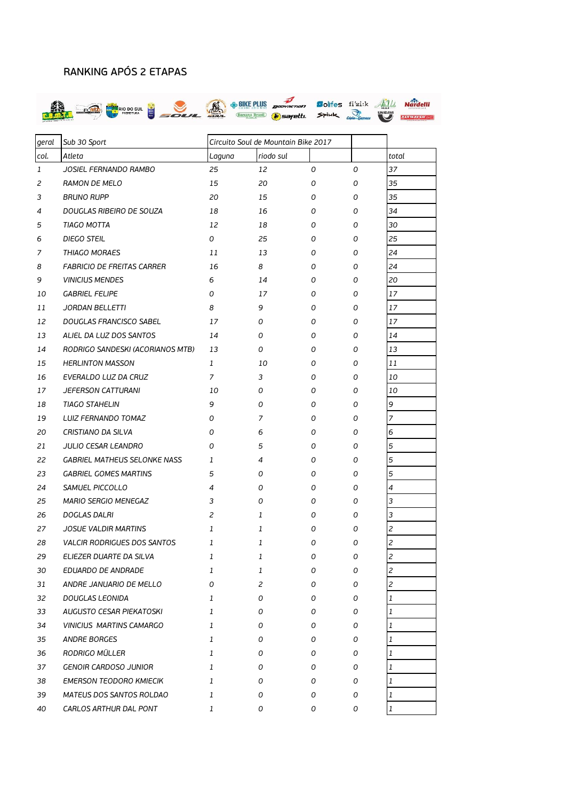## RANKING APÓS 2 ETAPAS



| geral        | Sub 30 Sport                        | Circuito Soul de Mountain Bike 2017 |                |   |   |                |
|--------------|-------------------------------------|-------------------------------------|----------------|---|---|----------------|
| col.         | Atleta                              | Laguna                              | riodo sul      |   |   | total          |
| $\mathbf{1}$ | JOSIEL FERNANDO RAMBO               | 25                                  | 12             | 0 | 0 | 37             |
| 2            | <b>RAMON DE MELO</b>                | 15                                  | 20             | 0 | 0 | 35             |
| 3            | <b>BRUNO RUPP</b>                   | 20                                  | 15             | 0 | 0 | 35             |
| 4            | DOUGLAS RIBEIRO DE SOUZA            | 18                                  | 16             | 0 | 0 | 34             |
| 5            | TIAGO MOTTA                         | 12                                  | 18             | 0 | 0 | 30             |
| 6            | DIEGO STEIL                         | 0                                   | 25             | 0 | 0 | 25             |
| 7            | THIAGO MORAES                       | 11                                  | 13             | 0 | 0 | 24             |
| 8            | <b>FABRICIO DE FREITAS CARRER</b>   | 16                                  | 8              | 0 | 0 | 24             |
| 9            | <b>VINICIUS MENDES</b>              | 6                                   | 14             | 0 | 0 | 20             |
| 10           | <b>GABRIEL FELIPE</b>               | 0                                   | 17             | 0 | 0 | 17             |
| 11           | <b>JORDAN BELLETTI</b>              | 8                                   | 9              | 0 | 0 | 17             |
| 12           | DOUGLAS FRANCISCO SABEL             | 17                                  | 0              | 0 | 0 | 17             |
| 13           | ALIEL DA LUZ DOS SANTOS             | 14                                  | 0              | 0 | 0 | 14             |
| 14           | RODRIGO SANDESKI (ACORIANOS MTB)    | 13                                  | 0              | 0 | 0 | 13             |
| 15           | <b>HERLINTON MASSON</b>             | 1                                   | 10             | 0 | 0 | 11             |
| 16           | EVERALDO LUZ DA CRUZ                | 7                                   | 3              | 0 | 0 | 10             |
| 17           | <b>JEFERSON CATTURANI</b>           | 10                                  | 0              | 0 | 0 | 10             |
| 18           | <b>TIAGO STAHELIN</b>               | 9                                   | 0              | 0 | 0 | 9              |
| 19           | LUIZ FERNANDO TOMAZ                 | 0                                   | 7              | 0 | 0 | 7              |
| 20           | CRISTIANO DA SILVA                  | 0                                   | 6              | 0 | 0 | 6              |
| 21           | <b>JULIO CESAR LEANDRO</b>          | 0                                   | 5              | 0 | 0 | 5              |
| 22           | <b>GABRIEL MATHEUS SELONKE NASS</b> | 1                                   | 4              | 0 | 0 | 5              |
| 23           | <b>GABRIEL GOMES MARTINS</b>        | 5                                   | 0              | 0 | 0 | 5              |
| 24           | SAMUEL PICCOLLO                     | 4                                   | 0              | 0 | 0 | $\overline{4}$ |
| 25           | MARIO SERGIO MENEGAZ                | 3                                   | 0              | 0 | 0 | 3              |
| 26           | DOGLAS DALRI                        | 2                                   | 1              | 0 | 0 | 3              |
| 27           | <b>JOSUE VALDIR MARTINS</b>         | 1                                   | 1              | 0 | 0 | 2              |
| 28           | VALCIR RODRIGUES DOS SANTOS         | 1                                   | 1              | 0 | 0 | 2              |
| 29           | ELIEZER DUARTE DA SILVA             | 1                                   | 1              | O | 0 | $\overline{c}$ |
| 30           | EDUARDO DE ANDRADE                  | 1                                   | 1              | 0 | 0 | 2              |
| 31           | ANDRE JANUARIO DE MELLO             | 0                                   | $\overline{c}$ | 0 | 0 | 2              |
| 32           | DOUGLAS LEONIDA                     | 1                                   | 0              | 0 | 0 | 1              |
| 33           | AUGUSTO CESAR PIEKATOSKI            | 1                                   | 0              | 0 | 0 | 1              |
| 34           | <b>VINICIUS MARTINS CAMARGO</b>     | 1                                   | 0              | 0 | 0 | 1              |
| 35           | ANDRE BORGES                        | 1                                   | 0              | 0 | 0 | 1              |
| 36           | RODRIGO MÜLLER                      | 1                                   | 0              | 0 | 0 | 1              |
| 37           | <b>GENOIR CARDOSO JUNIOR</b>        | 1                                   | 0              | 0 | 0 | $\mathbf{1}$   |
| 38           | <b>EMERSON TEODORO KMIECIK</b>      | 1                                   | 0              | 0 | 0 | 1              |
| 39           | MATEUS DOS SANTOS ROLDAO            | 1                                   | 0              | 0 | 0 | 1              |
| 40           | CARLOS ARTHUR DAL PONT              | 1                                   | 0              | 0 | 0 | 1              |